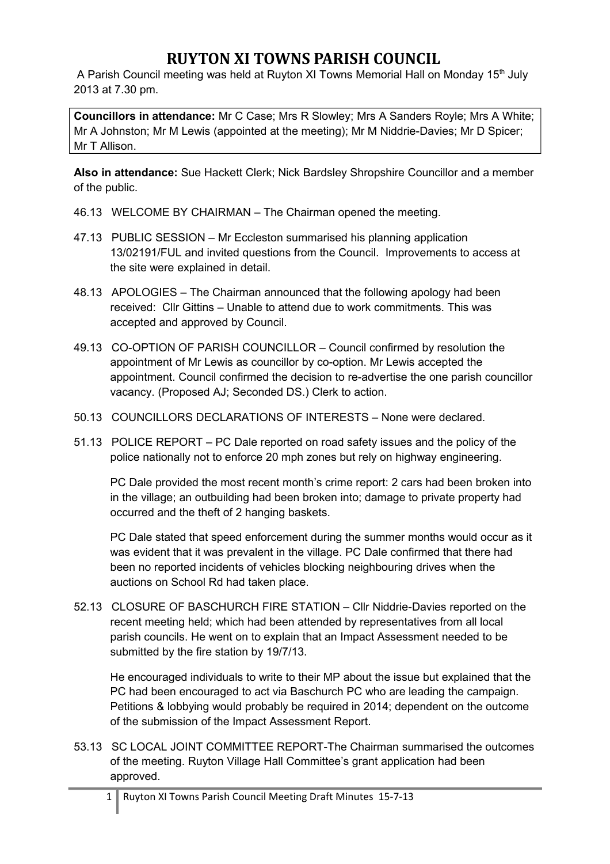A Parish Council meeting was held at Ruyton XI Towns Memorial Hall on Monday 15<sup>th</sup> July 2013 at 7.30 pm.

**Councillors in attendance:** Mr C Case; Mrs R Slowley; Mrs A Sanders Royle; Mrs A White; Mr A Johnston; Mr M Lewis (appointed at the meeting); Mr M Niddrie-Davies; Mr D Spicer; Mr T Allison.

**Also in attendance:** Sue Hackett Clerk; Nick Bardsley Shropshire Councillor and a member of the public.

- 46.13 WELCOME BY CHAIRMAN The Chairman opened the meeting.
- 47.13 PUBLIC SESSION Mr Eccleston summarised his planning application 13/02191/FUL and invited questions from the Council. Improvements to access at the site were explained in detail.
- 48.13 APOLOGIES The Chairman announced that the following apology had been received: Cllr Gittins – Unable to attend due to work commitments. This was accepted and approved by Council.
- 49.13 CO-OPTION OF PARISH COUNCILLOR Council confirmed by resolution the appointment of Mr Lewis as councillor by co-option. Mr Lewis accepted the appointment. Council confirmed the decision to re-advertise the one parish councillor vacancy. (Proposed AJ; Seconded DS.) Clerk to action.
- 50.13 COUNCILLORS DECLARATIONS OF INTERESTS None were declared.
- 51.13 POLICE REPORT PC Dale reported on road safety issues and the policy of the police nationally not to enforce 20 mph zones but rely on highway engineering.

PC Dale provided the most recent month's crime report: 2 cars had been broken into in the village; an outbuilding had been broken into; damage to private property had occurred and the theft of 2 hanging baskets.

PC Dale stated that speed enforcement during the summer months would occur as it was evident that it was prevalent in the village. PC Dale confirmed that there had been no reported incidents of vehicles blocking neighbouring drives when the auctions on School Rd had taken place.

52.13 CLOSURE OF BASCHURCH FIRE STATION – Cllr Niddrie-Davies reported on the recent meeting held; which had been attended by representatives from all local parish councils. He went on to explain that an Impact Assessment needed to be submitted by the fire station by 19/7/13.

He encouraged individuals to write to their MP about the issue but explained that the PC had been encouraged to act via Baschurch PC who are leading the campaign. Petitions & lobbying would probably be required in 2014; dependent on the outcome of the submission of the Impact Assessment Report.

53.13 SC LOCAL JOINT COMMITTEE REPORT-The Chairman summarised the outcomes of the meeting. Ruyton Village Hall Committee's grant application had been approved.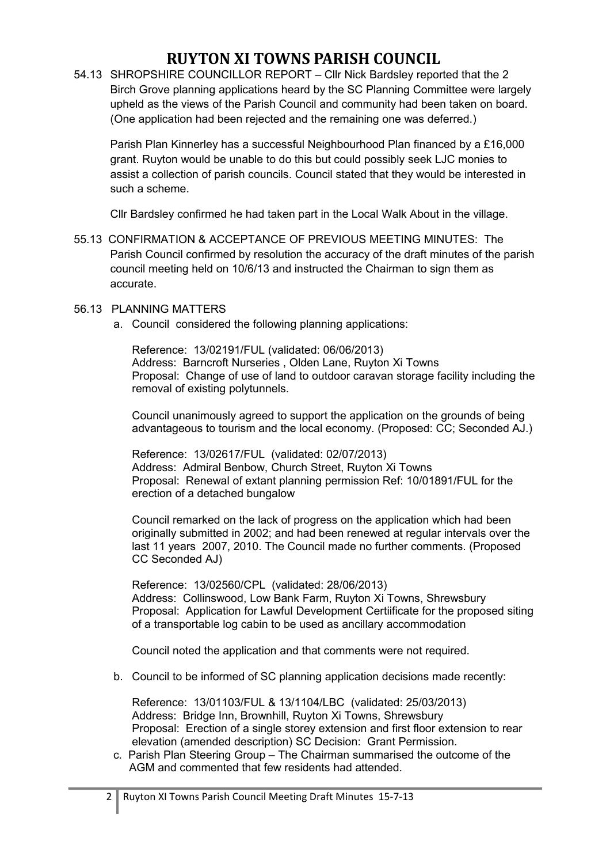54.13 SHROPSHIRE COUNCILLOR REPORT – Cllr Nick Bardsley reported that the 2 Birch Grove planning applications heard by the SC Planning Committee were largely upheld as the views of the Parish Council and community had been taken on board. (One application had been rejected and the remaining one was deferred.)

Parish Plan Kinnerley has a successful Neighbourhood Plan financed by a £16,000 grant. Ruyton would be unable to do this but could possibly seek LJC monies to assist a collection of parish councils. Council stated that they would be interested in such a scheme.

Cllr Bardsley confirmed he had taken part in the Local Walk About in the village.

55.13 CONFIRMATION & ACCEPTANCE OF PREVIOUS MEETING MINUTES: The Parish Council confirmed by resolution the accuracy of the draft minutes of the parish council meeting held on 10/6/13 and instructed the Chairman to sign them as accurate.

### 56.13 PLANNING MATTERS

a. Council considered the following planning applications:

Reference: 13/02191/FUL (validated: 06/06/2013) Address: Barncroft Nurseries , Olden Lane, Ruyton Xi Towns Proposal: Change of use of land to outdoor caravan storage facility including the removal of existing polytunnels.

Council unanimously agreed to support the application on the grounds of being advantageous to tourism and the local economy. (Proposed: CC; Seconded AJ.)

Reference: 13/02617/FUL (validated: 02/07/2013) Address: Admiral Benbow, Church Street, Ruyton Xi Towns Proposal: Renewal of extant planning permission Ref: 10/01891/FUL for the erection of a detached bungalow

Council remarked on the lack of progress on the application which had been originally submitted in 2002; and had been renewed at regular intervals over the last 11 years 2007, 2010. The Council made no further comments. (Proposed CC Seconded AJ)

Reference: 13/02560/CPL (validated: 28/06/2013) Address: Collinswood, Low Bank Farm, Ruyton Xi Towns, Shrewsbury Proposal: Application for Lawful Development Certiificate for the proposed siting of a transportable log cabin to be used as ancillary accommodation

Council noted the application and that comments were not required.

b. Council to be informed of SC planning application decisions made recently:

Reference: 13/01103/FUL & 13/1104/LBC (validated: 25/03/2013) Address: Bridge Inn, Brownhill, Ruyton Xi Towns, Shrewsbury Proposal: Erection of a single storey extension and first floor extension to rear elevation (amended description) SC Decision: Grant Permission.

c. Parish Plan Steering Group – The Chairman summarised the outcome of the AGM and commented that few residents had attended.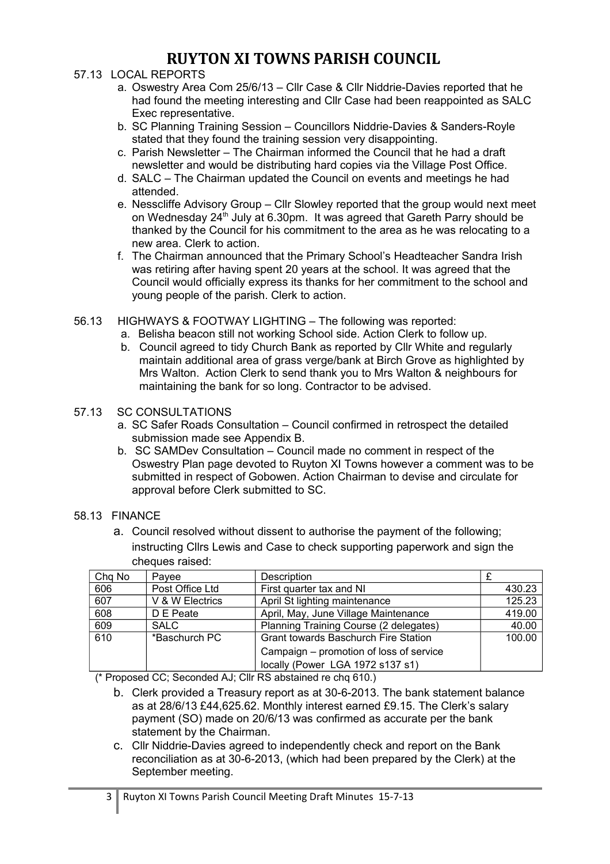### 57.13 LOCAL REPORTS

- a. Oswestry Area Com 25/6/13 Cllr Case & Cllr Niddrie-Davies reported that he had found the meeting interesting and Cllr Case had been reappointed as SALC Exec representative.
- b. SC Planning Training Session Councillors Niddrie-Davies & Sanders-Royle stated that they found the training session very disappointing.
- c. Parish Newsletter The Chairman informed the Council that he had a draft newsletter and would be distributing hard copies via the Village Post Office.
- d. SALC The Chairman updated the Council on events and meetings he had attended.
- e. Nesscliffe Advisory Group Cllr Slowley reported that the group would next meet on Wednesday 24<sup>th</sup> July at 6.30pm. It was agreed that Gareth Parry should be thanked by the Council for his commitment to the area as he was relocating to a new area. Clerk to action.
- f. The Chairman announced that the Primary School's Headteacher Sandra Irish was retiring after having spent 20 years at the school. It was agreed that the Council would officially express its thanks for her commitment to the school and young people of the parish. Clerk to action.
- 56.13 HIGHWAYS & FOOTWAY LIGHTING The following was reported:
	- a. Belisha beacon still not working School side. Action Clerk to follow up.
		- b. Council agreed to tidy Church Bank as reported by Cllr White and regularly maintain additional area of grass verge/bank at Birch Grove as highlighted by Mrs Walton. Action Clerk to send thank you to Mrs Walton & neighbours for maintaining the bank for so long. Contractor to be advised.

#### 57.13 SC CONSULTATIONS

- a. SC Safer Roads Consultation Council confirmed in retrospect the detailed submission made see Appendix B.
- b. SC SAMDev Consultation Council made no comment in respect of the Oswestry Plan page devoted to Ruyton XI Towns however a comment was to be submitted in respect of Gobowen. Action Chairman to devise and circulate for approval before Clerk submitted to SC.
- 58.13 FINANCE
	- a. Council resolved without dissent to authorise the payment of the following; instructing Cllrs Lewis and Case to check supporting paperwork and sign the cheques raised:

| Chq No | Pavee           | Description                                 |        |
|--------|-----------------|---------------------------------------------|--------|
| 606    | Post Office Ltd | First quarter tax and NI                    | 430.23 |
| 607    | V & W Electrics | April St lighting maintenance               | 125.23 |
| 608    | D E Peate       | April, May, June Village Maintenance        | 419.00 |
| 609    | <b>SALC</b>     | Planning Training Course (2 delegates)      | 40.00  |
| 610    | *Baschurch PC   | <b>Grant towards Baschurch Fire Station</b> | 100.00 |
|        |                 | Campaign – promotion of loss of service     |        |
|        |                 | locally (Power LGA 1972 s137 s1)            |        |

(\* Proposed CC; Seconded AJ; Cllr RS abstained re chq 610.)

- b. Clerk provided a Treasury report as at 30-6-2013. The bank statement balance as at 28/6/13 £44,625.62. Monthly interest earned £9.15. The Clerk's salary payment (SO) made on 20/6/13 was confirmed as accurate per the bank statement by the Chairman.
- c. Cllr Niddrie-Davies agreed to independently check and report on the Bank reconciliation as at 30-6-2013, (which had been prepared by the Clerk) at the September meeting.